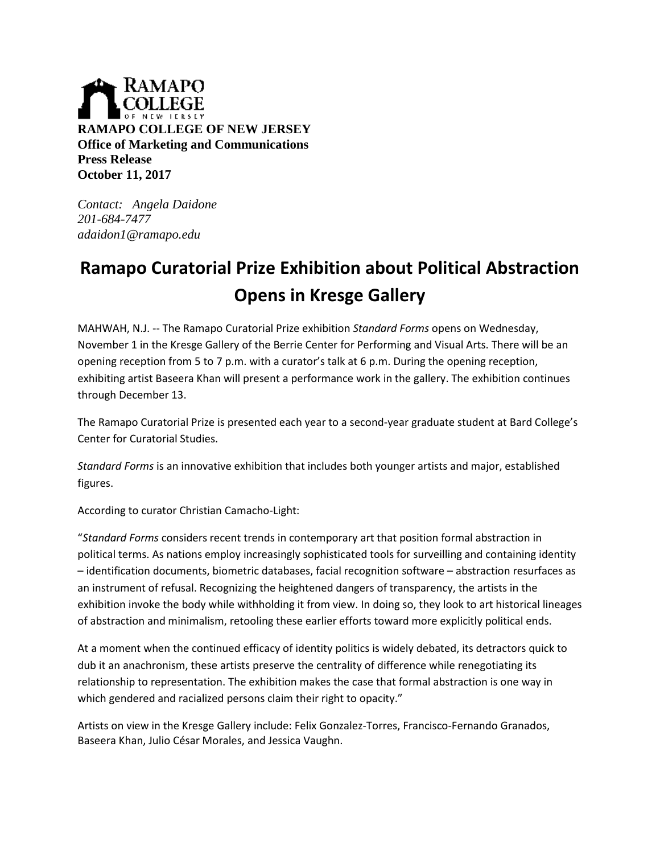

*Contact: Angela Daidone 201-684-7477 adaidon1@ramapo.edu*

## **Ramapo Curatorial Prize Exhibition about Political Abstraction Opens in Kresge Gallery**

MAHWAH, N.J. -- The Ramapo Curatorial Prize exhibition *Standard Forms* opens on Wednesday, November 1 in the Kresge Gallery of the Berrie Center for Performing and Visual Arts. There will be an opening reception from 5 to 7 p.m. with a curator's talk at 6 p.m. During the opening reception, exhibiting artist Baseera Khan will present a performance work in the gallery. The exhibition continues through December 13.

The Ramapo Curatorial Prize is presented each year to a second-year graduate student at Bard College's Center for Curatorial Studies.

*Standard Forms* is an innovative exhibition that includes both younger artists and major, established figures.

According to curator Christian Camacho-Light:

"*Standard Forms* considers recent trends in contemporary art that position formal abstraction in political terms. As nations employ increasingly sophisticated tools for surveilling and containing identity – identification documents, biometric databases, facial recognition software – abstraction resurfaces as an instrument of refusal. Recognizing the heightened dangers of transparency, the artists in the exhibition invoke the body while withholding it from view. In doing so, they look to art historical lineages of abstraction and minimalism, retooling these earlier efforts toward more explicitly political ends.

At a moment when the continued efficacy of identity politics is widely debated, its detractors quick to dub it an anachronism, these artists preserve the centrality of difference while renegotiating its relationship to representation. The exhibition makes the case that formal abstraction is one way in which gendered and racialized persons claim their right to opacity."

Artists on view in the Kresge Gallery include: Felix Gonzalez-Torres, Francisco-Fernando Granados, Baseera Khan, Julio César Morales, and Jessica Vaughn.